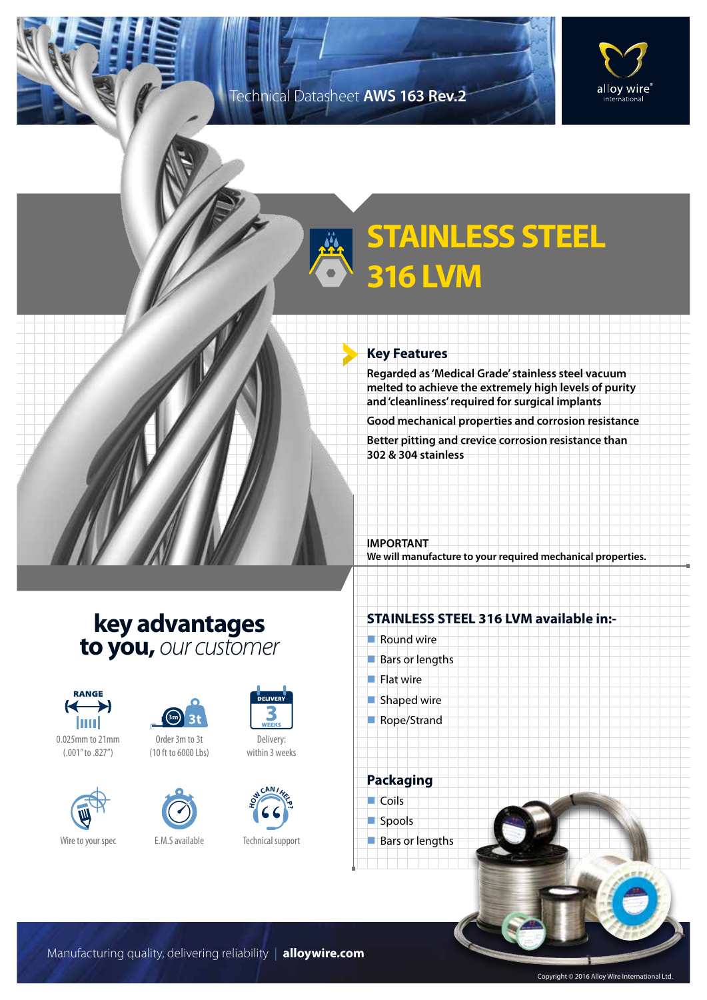### Technical Datasheet **AWS 163 Rev.2**



# **STAINLESS STEEL 316 LVM**

#### **Key Features**

**Regarded as 'Medical Grade' stainless steel vacuum melted to achieve the extremely high levels of purity and 'cleanliness' required for surgical implants**

**Good mechanical properties and corrosion resistance**

**Better pitting and crevice corrosion resistance than 302 & 304 stainless**

**IMPORTANT We will manufacture to your required mechanical properties.**

## **key advantages to you,** *our customer*



0.025mm to 21mm (.001" to .827")





Order 3m to 3t (10 ft to 6000 Lbs)





Delivery: within 3 weeks



Technical support

#### **STAINLESS STEEL 316 LVM available in:-**

- $\blacksquare$  Round wire
- $Bars$  or lengths
- $\blacksquare$  Flat wire
- $\blacksquare$  Shaped wire
- Rope/Strand

**Packaging**

 $\Box$  Coils



**Bars or lengths** 

Manufacturing quality, delivering reliability | **alloywire.com**

Copyright © 2016 Alloy Wire International Ltd.